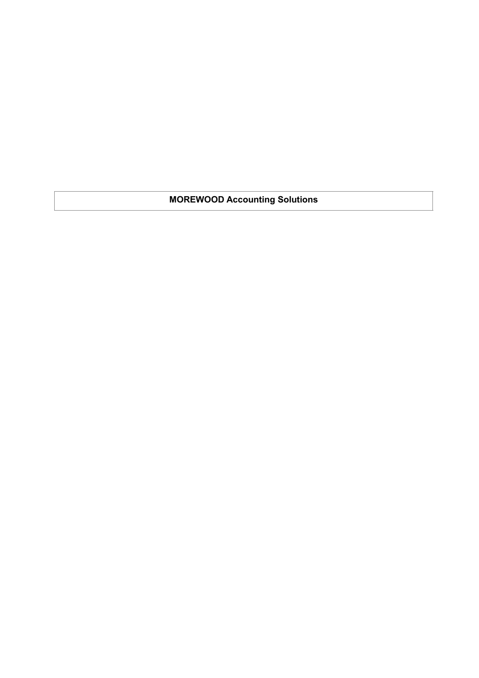**MOREWOOD Accounting Solutions**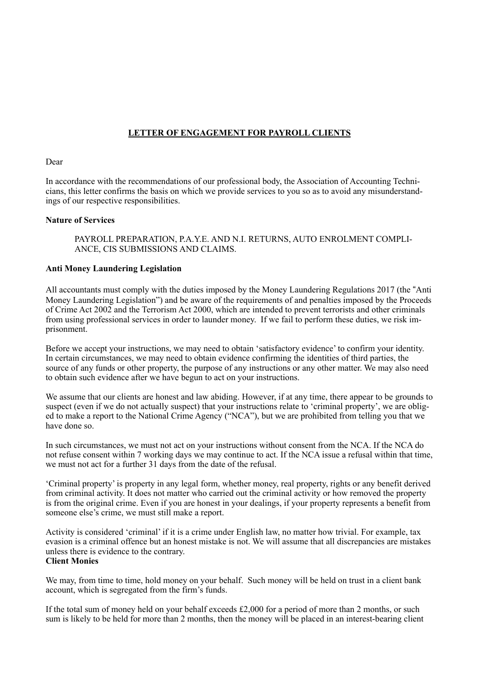# **LETTER OF ENGAGEMENT FOR PAYROLL CLIENTS**

#### Dear

In accordance with the recommendations of our professional body, the Association of Accounting Technicians, this letter confirms the basis on which we provide services to you so as to avoid any misunderstandings of our respective responsibilities.

#### **Nature of Services**

PAYROLL PREPARATION, P.A.Y.E. AND N.I. RETURNS, AUTO ENROLMENT COMPLI-ANCE, CIS SUBMISSIONS AND CLAIMS.

#### **Anti Money Laundering Legislation**

All accountants must comply with the duties imposed by the Money Laundering Regulations 2017 (the "Anti Money Laundering Legislation") and be aware of the requirements of and penalties imposed by the Proceeds of Crime Act 2002 and the Terrorism Act 2000, which are intended to prevent terrorists and other criminals from using professional services in order to launder money. If we fail to perform these duties, we risk imprisonment.

Before we accept your instructions, we may need to obtain 'satisfactory evidence' to confirm your identity. In certain circumstances, we may need to obtain evidence confirming the identities of third parties, the source of any funds or other property, the purpose of any instructions or any other matter. We may also need to obtain such evidence after we have begun to act on your instructions.

We assume that our clients are honest and law abiding. However, if at any time, there appear to be grounds to suspect (even if we do not actually suspect) that your instructions relate to 'criminal property', we are obliged to make a report to the National Crime Agency ("NCA"), but we are prohibited from telling you that we have done so.

In such circumstances, we must not act on your instructions without consent from the NCA. If the NCA do not refuse consent within 7 working days we may continue to act. If the NCA issue a refusal within that time, we must not act for a further 31 days from the date of the refusal.

'Criminal property' is property in any legal form, whether money, real property, rights or any benefit derived from criminal activity. It does not matter who carried out the criminal activity or how removed the property is from the original crime. Even if you are honest in your dealings, if your property represents a benefit from someone else's crime, we must still make a report.

Activity is considered 'criminal' if it is a crime under English law, no matter how trivial. For example, tax evasion is a criminal offence but an honest mistake is not. We will assume that all discrepancies are mistakes unless there is evidence to the contrary. **Client Monies** 

We may, from time to time, hold money on your behalf. Such money will be held on trust in a client bank account, which is segregated from the firm's funds.

If the total sum of money held on your behalf exceeds  $£2,000$  for a period of more than 2 months, or such sum is likely to be held for more than 2 months, then the money will be placed in an interest-bearing client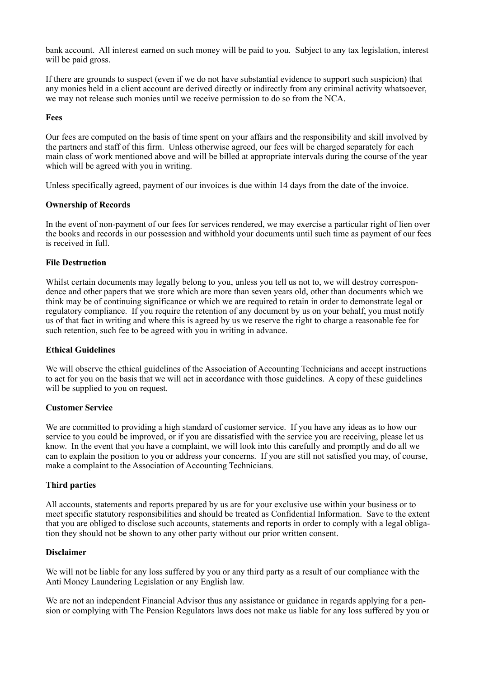bank account. All interest earned on such money will be paid to you. Subject to any tax legislation, interest will be paid gross.

If there are grounds to suspect (even if we do not have substantial evidence to support such suspicion) that any monies held in a client account are derived directly or indirectly from any criminal activity whatsoever, we may not release such monies until we receive permission to do so from the NCA.

#### **Fees**

Our fees are computed on the basis of time spent on your affairs and the responsibility and skill involved by the partners and staff of this firm. Unless otherwise agreed, our fees will be charged separately for each main class of work mentioned above and will be billed at appropriate intervals during the course of the year which will be agreed with you in writing.

Unless specifically agreed, payment of our invoices is due within 14 days from the date of the invoice.

## **Ownership of Records**

In the event of non-payment of our fees for services rendered, we may exercise a particular right of lien over the books and records in our possession and withhold your documents until such time as payment of our fees is received in full.

## **File Destruction**

Whilst certain documents may legally belong to you, unless you tell us not to, we will destroy correspondence and other papers that we store which are more than seven years old, other than documents which we think may be of continuing significance or which we are required to retain in order to demonstrate legal or regulatory compliance. If you require the retention of any document by us on your behalf, you must notify us of that fact in writing and where this is agreed by us we reserve the right to charge a reasonable fee for such retention, such fee to be agreed with you in writing in advance.

#### **Ethical Guidelines**

We will observe the ethical guidelines of the Association of Accounting Technicians and accept instructions to act for you on the basis that we will act in accordance with those guidelines. A copy of these guidelines will be supplied to you on request.

#### **Customer Service**

We are committed to providing a high standard of customer service. If you have any ideas as to how our service to you could be improved, or if you are dissatisfied with the service you are receiving, please let us know. In the event that you have a complaint, we will look into this carefully and promptly and do all we can to explain the position to you or address your concerns. If you are still not satisfied you may, of course, make a complaint to the Association of Accounting Technicians.

#### **Third parties**

All accounts, statements and reports prepared by us are for your exclusive use within your business or to meet specific statutory responsibilities and should be treated as Confidential Information. Save to the extent that you are obliged to disclose such accounts, statements and reports in order to comply with a legal obligation they should not be shown to any other party without our prior written consent.

#### **Disclaimer**

We will not be liable for any loss suffered by you or any third party as a result of our compliance with the Anti Money Laundering Legislation or any English law.

We are not an independent Financial Advisor thus any assistance or guidance in regards applying for a pension or complying with The Pension Regulators laws does not make us liable for any loss suffered by you or